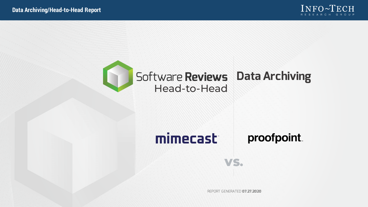



#### mimecast proofpoint.

REPORT GENERATED **07.27.2020**

VS.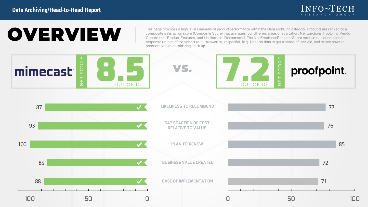

# **OVERVIEW**

This page provides a high level summary of product performance within the Data Archiving category. Products are ranked by a composite satisfaction score (Composite Score) that averages four different areas of evaluation: Net Emotional Footprint, Vendor Capabilities, Product Features, and Likeliness to Recommend. The Net Emotional Footprint Score measures user emotional<br>response ratings of the vendor (e.g. trustworthy, respectful, fair). Use this data to get a sense of th products you're considering stack up.

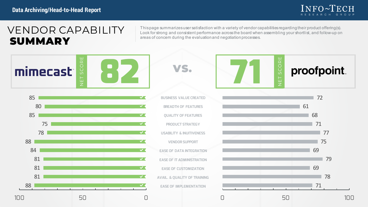

## VENDOR CAPABILITY SUMMARY

This page summarizes user satisfaction with a variety of vendor capabilities regarding their product offering(s). Look for strong and consistent performance across the board when assembling your shortlist, and follow-up on areas of concern during the evaluation and negotiation processes.

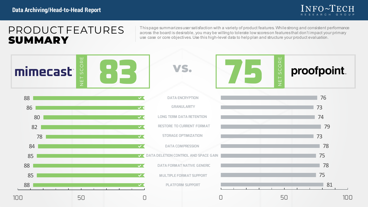

### PRODUCT FEATURES SUMMARY

This page summarizes user satisfaction with a variety of product features. While strong and consistent performance across the board is desirable, you may be willing to tolerate low scores on features that don't impact your primary use case or core objectives. Use this high-level data to help plan and structure your product evaluation.

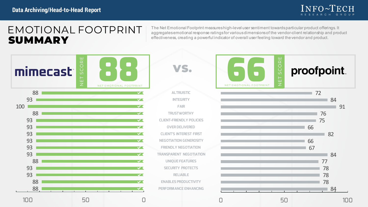

### EMOTIONAL FOOTPRINT SUMMARY

The Net Emotional Footprint measures high-level user sentiment towards particular product offerings. It aggregates emotional response ratings for various dimensions of the vendor-client relationship and product effectiveness, creating a powerful indicator of overall user feeling toward the vendor and product.